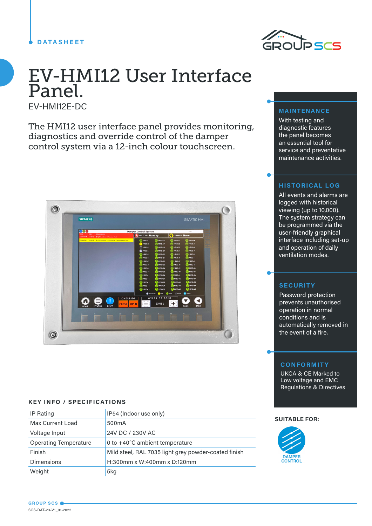# **DATASHEET**



# EV-HMI12 User Interface Panel.

EV-HMI12E-DC

The HMI12 user interface panel provides monitoring, diagnostics and override control of the damper control system via a 12-inch colour touchscreen.

| <b>SIEMENS</b>                                                        |                      |                          |                                                                                                                                                                 |                                                                                                                                             |                                                                                                                          | SIMATIC HMI                                                                                                                                                        |  |
|-----------------------------------------------------------------------|----------------------|--------------------------|-----------------------------------------------------------------------------------------------------------------------------------------------------------------|---------------------------------------------------------------------------------------------------------------------------------------------|--------------------------------------------------------------------------------------------------------------------------|--------------------------------------------------------------------------------------------------------------------------------------------------------------------|--|
| <b>SG</b>                                                             |                      |                          | <b>Damper Control System</b>                                                                                                                                    |                                                                                                                                             |                                                                                                                          | User:                                                                                                                                                              |  |
| Time<br>Date<br>12:06:49 AM 1/1/2012 [D1] N1 Address 2: Actuator Fack | <b>Active Alarms</b> |                          | FIRE ZONE: Standby                                                                                                                                              |                                                                                                                                             | OVERRIDE None                                                                                                            |                                                                                                                                                                    |  |
| 1206/09 AM 1/1/2012 [D1] N1 Address 2: N1 Address Communication Fault |                      |                          | ( MFSD-01<br><b>B</b> MFSD-02<br>(C) MFSD-03<br><b>OO</b> MFSD-04<br>MFSD-05<br>MFSD-06                                                                         | <b>PI MFSD-16</b><br>$\implies$ MFSD-17<br><b>PE MESD-18</b><br>P MFSD-29<br>MFSD-20<br>$\blacksquare$ MFSD-21                              | PHESD-31<br>PHFSD-32<br>(P) MFSD-33<br><sup>9</sup> MPSD-34<br>MFSD-35<br><sup>9</sup> MFSD-36                           | SHESD-46<br><sup>2</sup> MFSD-47<br>(B) MFSD-48<br>MFSD-49<br>HFSD-50<br>$\Rightarrow$ MFSD-51                                                                     |  |
|                                                                       |                      |                          | $\implies$ MFSD-07<br>MFSD-08<br>MFSD-09<br>MFSD-10<br><b>MPSD-11</b><br><b>B</b> MPSD-12<br><b>MPSD-13</b><br>$\binom{2}{1}$ MFSD-14<br>$\blacksquare$ MPSD-15 | <sup>B</sup> MFSD-22<br>HFSD-23<br><sup>P</sup> HFSD-24<br>HFSD-25<br>PIFSD-26<br>PIFSD-27<br>PI MFSD-28<br><sup>1</sup> MFSD-29<br>MFSD-30 | $\Rightarrow$ MFSD-37<br>HFSD-38<br>PIPSD-39<br>PIPSD-40<br><b>MFSD-41</b><br>MFSD-42<br>HFSD-43<br>PIFSD-44<br>PIFSD-45 | <sup>(a)</sup> MFSD-52<br><b>B</b> MFSD-53<br>MFSD-54<br><b>HFSD-55</b><br>MFSD-56<br>MFSD-57<br>$\implies$ MFSD-58<br>$\blacksquare$ MFSD-59<br><b>ED</b> MFSD-60 |  |
| П<br><b>HOME</b><br><b>STATUS</b>                                     | Œ<br><b>RESET</b>    | OVERRIDE<br><b>CLOSE</b> | <b>OPEN</b>                                                                                                                                                     | <b>OVERRIDE ZONE</b><br>ZONE 1                                                                                                              | <b>CONSIDERED THAT OF ONE ENGINEERING</b><br>⊕                                                                           | <b>O</b> Formal<br>PAGE<br><b>BACK</b>                                                                                                                             |  |
| F1                                                                    | F3                   | $\mathbf{H}$             | $B_{2}$<br>$5 -$                                                                                                                                                | P                                                                                                                                           | 样                                                                                                                        | F3<br><b>F10</b>                                                                                                                                                   |  |

# **KEY INFO / SPECIFICATIONS**

| IP Rating                    | IP54 (Indoor use only)                               |
|------------------------------|------------------------------------------------------|
| <b>Max Current Load</b>      | 500 <sub>m</sub> A                                   |
| Voltage Input                | 24V DC / 230V AC                                     |
| <b>Operating Temperature</b> | 0 to +40°C ambient temperature                       |
| Finish                       | Mild steel, RAL 7035 light grey powder-coated finish |
| <b>Dimensions</b>            | H:300mm x W:400mm x D:120mm                          |
| Weight                       | 5kg                                                  |

#### **MAINTENANCE**

With testing and diagnostic features the panel becomes an essential tool for service and preventative maintenance activities.

# **HISTORICAL LOG**

All events and alarms are logged with historical viewing (up to 10,000). The system strategy can be programmed via the user-friendly graphical interface including set-up and operation of daily ventilation modes.

#### **SECURITY**

Password protection prevents unauthorised operation in normal conditions and is automatically removed in the event of a fire.

## **CONFORMITY**

UKCA & CE Marked to Low voltage and EMC Regulations & Directives

#### **SUITABLE FOR:**